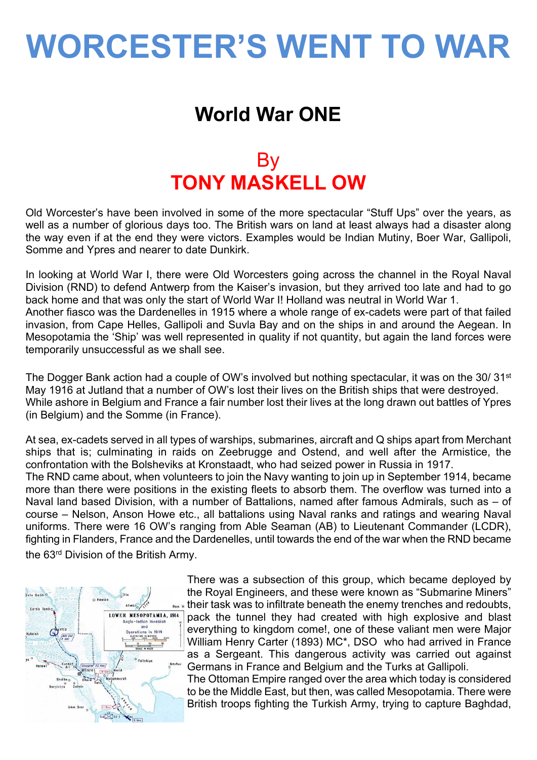# **WORCESTER'S WENT TO WAR**

### **World War ONE**

### **By TONY MASKELL OW**

Old Worcester's have been involved in some of the more spectacular "Stuff Ups" over the years, as well as a number of glorious days too. The British wars on land at least always had a disaster along the way even if at the end they were victors. Examples would be Indian Mutiny, Boer War, Gallipoli, Somme and Ypres and nearer to date Dunkirk.

In looking at World War I, there were Old Worcesters going across the channel in the Royal Naval Division (RND) to defend Antwerp from the Kaiser's invasion, but they arrived too late and had to go back home and that was only the start of World War I! Holland was neutral in World War 1. Another fiasco was the Dardenelles in 1915 where a whole range of ex-cadets were part of that failed invasion, from Cape Helles, Gallipoli and Suvla Bay and on the ships in and around the Aegean. In Mesopotamia the 'Ship' was well represented in quality if not quantity, but again the land forces were temporarily unsuccessful as we shall see.

The Dogger Bank action had a couple of OW's involved but nothing spectacular, it was on the 30/31<sup>st</sup> May 1916 at Jutland that a number of OW's lost their lives on the British ships that were destroyed. While ashore in Belgium and France a fair number lost their lives at the long drawn out battles of Ypres (in Belgium) and the Somme (in France).

At sea, ex-cadets served in all types of warships, submarines, aircraft and Q ships apart from Merchant ships that is; culminating in raids on Zeebrugge and Ostend, and well after the Armistice, the confrontation with the Bolsheviks at Kronstaadt, who had seized power in Russia in 1917. The RND came about, when volunteers to join the Navy wanting to join up in September 1914, became more than there were positions in the existing fleets to absorb them. The overflow was turned into a Naval land based Division, with a number of Battalions, named after famous Admirals, such as – of course – Nelson, Anson Howe etc., all battalions using Naval ranks and ratings and wearing Naval uniforms. There were 16 OW's ranging from Able Seaman (AB) to Lieutenant Commander (LCDR), fighting in Flanders, France and the Dardenelles, until towards the end of the war when the RND became the 63rd Division of the British Army.



There was a subsection of this group, which became deployed by the Royal Engineers, and these were known as "Submarine Miners" their task was to infiltrate beneath the enemy trenches and redoubts, pack the tunnel they had created with high explosive and blast everything to kingdom come!, one of these valiant men were Major William Henry Carter (1893) MC\*, DSO who had arrived in France as a Sergeant. This dangerous activity was carried out against Germans in France and Belgium and the Turks at Gallipoli.

The Ottoman Empire ranged over the area which today is considered to be the Middle East, but then, was called Mesopotamia. There were British troops fighting the Turkish Army, trying to capture Baghdad,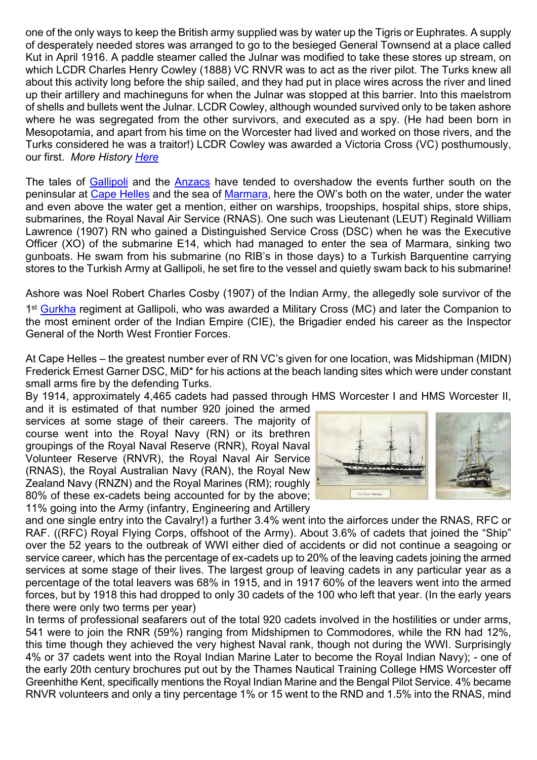one of the only ways to keep the British army supplied was by water up the Tigris or Euphrates. A supply of desperately needed stores was arranged to go to the besieged General Townsend at a place called Kut in April 1916. A paddle steamer called the Julnar was modified to take these stores up stream, on which LCDR Charles Henry Cowley (1888) VC RNVR was to act as the river pilot. The Turks knew all about this activity long before the ship sailed, and they had put in place wires across the river and lined up their artillery and machineguns for when the Julnar was stopped at this barrier. Into this maelstrom of shells and bullets went the Julnar. LCDR Cowley, although wounded survived only to be taken ashore where he was segregated from the other survivors, and executed as a spy. (He had been born in Mesopotamia, and apart from his time on the Worcester had lived and worked on those rivers, and the Turks considered he was a traitor!) LCDR Cowley was awarded a Victoria Cross (VC) posthumously, our first. *More History [Here](http://en.wikipedia.org/wiki/Mesopotamian_campaign)*

The tales of [Gallipoli](http://en.wikipedia.org/wiki/Gallipoli_Campaign) and the [Anzacs](http://en.wikipedia.org/wiki/Australian_and_New_Zealand_Army_Corps) have tended to overshadow the events further south on the peninsular at [Cape Helles](http://en.wikipedia.org/wiki/Landing_at_Cape_Helles) and the sea of [Marmara,](http://en.wikipedia.org/wiki/Sea_of_Marmara) here the OW's both on the water, under the water and even above the water get a mention, either on warships, troopships, hospital ships, store ships, submarines, the Royal Naval Air Service (RNAS). One such was Lieutenant (LEUT) Reginald William Lawrence (1907) RN who gained a Distinguished Service Cross (DSC) when he was the Executive Officer (XO) of the submarine E14, which had managed to enter the sea of Marmara, sinking two gunboats. He swam from his submarine (no RIB's in those days) to a Turkish Barquentine carrying stores to the Turkish Army at Gallipoli, he set fire to the vessel and quietly swam back to his submarine!

Ashore was Noel Robert Charles Cosby (1907) of the Indian Army, the allegedly sole survivor of the

1<sup>st</sup> [Gurkha](http://en.wikipedia.org/wiki/Gurkha) regiment at Gallipoli, who was awarded a Military Cross (MC) and later the Companion to the most eminent order of the Indian Empire (CIE), the Brigadier ended his career as the Inspector General of the North West Frontier Forces.

At Cape Helles – the greatest number ever of RN VC's given for one location, was Midshipman (MIDN) Frederick Ernest Garner DSC, MiD\* for his actions at the beach landing sites which were under constant small arms fire by the defending Turks.

By 1914, approximately 4,465 cadets had passed through HMS Worcester I and HMS Worcester II,

and it is estimated of that number 920 joined the armed services at some stage of their careers. The majority of course went into the Royal Navy (RN) or its brethren groupings of the Royal Naval Reserve (RNR), Royal Naval Volunteer Reserve (RNVR), the Royal Naval Air Service (RNAS), the Royal Australian Navy (RAN), the Royal New Zealand Navy (RNZN) and the Royal Marines (RM); roughly 80% of these ex-cadets being accounted for by the above; 11% going into the Army (infantry, Engineering and Artillery



and one single entry into the Cavalry!) a further 3.4% went into the airforces under the RNAS, RFC or RAF. ((RFC) Royal Flying Corps, offshoot of the Army). About 3.6% of cadets that joined the "Ship" over the 52 years to the outbreak of WWI either died of accidents or did not continue a seagoing or service career, which has the percentage of ex-cadets up to 20% of the leaving cadets joining the armed services at some stage of their lives. The largest group of leaving cadets in any particular year as a percentage of the total leavers was 68% in 1915, and in 1917 60% of the leavers went into the armed forces, but by 1918 this had dropped to only 30 cadets of the 100 who left that year. (In the early years there were only two terms per year)

In terms of professional seafarers out of the total 920 cadets involved in the hostilities or under arms, 541 were to join the RNR (59%) ranging from Midshipmen to Commodores, while the RN had 12%, this time though they achieved the very highest Naval rank, though not during the WWI. Surprisingly 4% or 37 cadets went into the Royal Indian Marine Later to become the Royal Indian Navy); - one of the early 20th century brochures put out by the Thames Nautical Training College HMS Worcester off Greenhithe Kent, specifically mentions the Royal Indian Marine and the Bengal Pilot Service. 4% became RNVR volunteers and only a tiny percentage 1% or 15 went to the RND and 1.5% into the RNAS, mind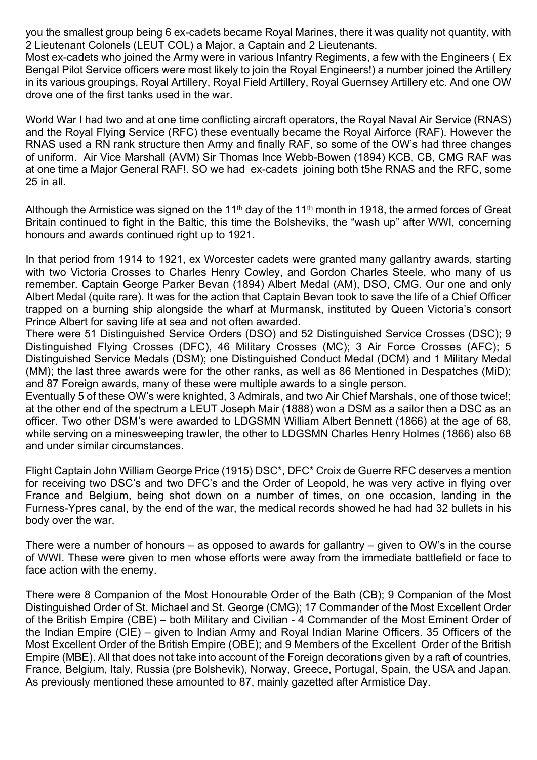you the smallest group being 6 ex-cadets became Royal Marines, there it was quality not quantity, with 2 Lieutenant Colonels (LEUT COL) a Major, a Captain and 2 Lieutenants.

Most ex-cadets who joined the Army were in various Infantry Regiments, a few with the Engineers ( Ex Bengal Pilot Service officers were most likely to join the Royal Engineers!) a number joined the Artillery in its various groupings, Royal Artillery, Royal Field Artillery, Royal Guernsey Artillery etc. And one OW drove one of the first tanks used in the war.

World War I had two and at one time conflicting aircraft operators, the Royal Naval Air Service (RNAS) and the Royal Flying Service (RFC) these eventually became the Royal Airforce (RAF). However the RNAS used a RN rank structure then Army and finally RAF, so some of the OW's had three changes of uniform. Air Vice Marshall (AVM) Sir Thomas Ince Webb-Bowen (1894) KCB, CB, CMG RAF was at one time a Major General RAF!. SO we had ex-cadets joining both t5he RNAS and the RFC, some 25 in all.

Although the Armistice was signed on the 11<sup>th</sup> day of the 11<sup>th</sup> month in 1918, the armed forces of Great Britain continued to fight in the Baltic, this time the Bolsheviks, the "wash up" after WWI, concerning honours and awards continued right up to 1921.

In that period from 1914 to 1921, ex Worcester cadets were granted many gallantry awards, starting with two Victoria Crosses to Charles Henry Cowley, and Gordon Charles Steele, who many of us remember. Captain George Parker Bevan (1894) Albert Medal (AM), DSO, CMG. Our one and only Albert Medal (quite rare). It was for the action that Captain Bevan took to save the life of a Chief Officer trapped on a burning ship alongside the wharf at Murmansk, instituted by Queen Victoria's consort Prince Albert for saving life at sea and not often awarded.

There were 51 Distinguished Service Orders (DSO) and 52 Distinguished Service Crosses (DSC); 9 Distinguished Flying Crosses (DFC), 46 Military Crosses (MC); 3 Air Force Crosses (AFC); 5 Distinguished Service Medals (DSM); one Distinguished Conduct Medal (DCM) and 1 Military Medal (MM); the last three awards were for the other ranks, as well as 86 Mentioned in Despatches (MiD); and 87 Foreign awards, many of these were multiple awards to a single person.

Eventually 5 of these OW's were knighted, 3 Admirals, and two Air Chief Marshals, one of those twice!; at the other end of the spectrum a LEUT Joseph Mair (1888) won a DSM as a sailor then a DSC as an officer. Two other DSM's were awarded to LDGSMN William Albert Bennett (1866) at the age of 68, while serving on a minesweeping trawler, the other to LDGSMN Charles Henry Holmes (1866) also 68 and under similar circumstances.

Flight Captain John William George Price (1915) DSC\*, DFC\* Croix de Guerre RFC deserves a mention for receiving two DSC's and two DFC's and the Order of Leopold, he was very active in flying over France and Belgium, being shot down on a number of times, on one occasion, landing in the Furness-Ypres canal, by the end of the war, the medical records showed he had had 32 bullets in his body over the war.

There were a number of honours – as opposed to awards for gallantry – given to OW's in the course of WWI. These were given to men whose efforts were away from the immediate battlefield or face to face action with the enemy.

There were 8 Companion of the Most Honourable Order of the Bath (CB); 9 Companion of the Most Distinguished Order of St. Michael and St. George (CMG); 17 Commander of the Most Excellent Order of the British Empire (CBE) – both Military and Civilian - 4 Commander of the Most Eminent Order of the Indian Empire (CIE) – given to Indian Army and Royal Indian Marine Officers. 35 Officers of the Most Excellent Order of the British Empire (OBE); and 9 Members of the Excellent Order of the British Empire (MBE). All that does not take into account of the Foreign decorations given by a raft of countries, France, Belgium, Italy, Russia (pre Bolshevik), Norway, Greece, Portugal, Spain, the USA and Japan. As previously mentioned these amounted to 87, mainly gazetted after Armistice Day.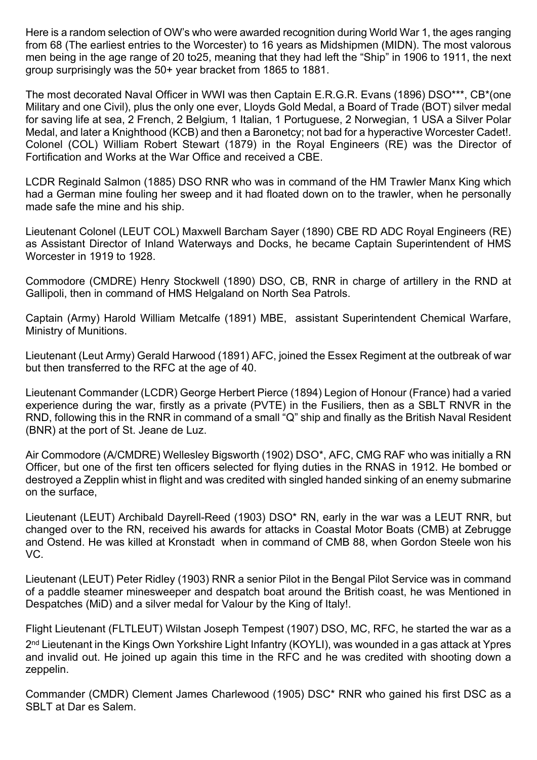Here is a random selection of OW's who were awarded recognition during World War 1, the ages ranging from 68 (The earliest entries to the Worcester) to 16 years as Midshipmen (MIDN). The most valorous men being in the age range of 20 to25, meaning that they had left the "Ship" in 1906 to 1911, the next group surprisingly was the 50+ year bracket from 1865 to 1881.

The most decorated Naval Officer in WWI was then Captain E.R.G.R. Evans (1896) DSO\*\*\*, CB\*(one Military and one Civil), plus the only one ever, Lloyds Gold Medal, a Board of Trade (BOT) silver medal for saving life at sea, 2 French, 2 Belgium, 1 Italian, 1 Portuguese, 2 Norwegian, 1 USA a Silver Polar Medal, and later a Knighthood (KCB) and then a Baronetcy; not bad for a hyperactive Worcester Cadet!. Colonel (COL) William Robert Stewart (1879) in the Royal Engineers (RE) was the Director of Fortification and Works at the War Office and received a CBE.

LCDR Reginald Salmon (1885) DSO RNR who was in command of the HM Trawler Manx King which had a German mine fouling her sweep and it had floated down on to the trawler, when he personally made safe the mine and his ship.

Lieutenant Colonel (LEUT COL) Maxwell Barcham Sayer (1890) CBE RD ADC Royal Engineers (RE) as Assistant Director of Inland Waterways and Docks, he became Captain Superintendent of HMS Worcester in 1919 to 1928.

Commodore (CMDRE) Henry Stockwell (1890) DSO, CB, RNR in charge of artillery in the RND at Gallipoli, then in command of HMS Helgaland on North Sea Patrols.

Captain (Army) Harold William Metcalfe (1891) MBE, assistant Superintendent Chemical Warfare, Ministry of Munitions.

Lieutenant (Leut Army) Gerald Harwood (1891) AFC, joined the Essex Regiment at the outbreak of war but then transferred to the RFC at the age of 40.

Lieutenant Commander (LCDR) George Herbert Pierce (1894) Legion of Honour (France) had a varied experience during the war, firstly as a private (PVTE) in the Fusiliers, then as a SBLT RNVR in the RND, following this in the RNR in command of a small "Q" ship and finally as the British Naval Resident (BNR) at the port of St. Jeane de Luz.

Air Commodore (A/CMDRE) Wellesley Bigsworth (1902) DSO\*, AFC, CMG RAF who was initially a RN Officer, but one of the first ten officers selected for flying duties in the RNAS in 1912. He bombed or destroyed a Zepplin whist in flight and was credited with singled handed sinking of an enemy submarine on the surface,

Lieutenant (LEUT) Archibald Dayrell-Reed (1903) DSO\* RN, early in the war was a LEUT RNR, but changed over to the RN, received his awards for attacks in Coastal Motor Boats (CMB) at Zebrugge and Ostend. He was killed at Kronstadt when in command of CMB 88, when Gordon Steele won his VC.

Lieutenant (LEUT) Peter Ridley (1903) RNR a senior Pilot in the Bengal Pilot Service was in command of a paddle steamer minesweeper and despatch boat around the British coast, he was Mentioned in Despatches (MiD) and a silver medal for Valour by the King of Italy!.

Flight Lieutenant (FLTLEUT) Wilstan Joseph Tempest (1907) DSO, MC, RFC, he started the war as a 2 nd Lieutenant in the Kings Own Yorkshire Light Infantry (KOYLI), was wounded in a gas attack at Ypres and invalid out. He joined up again this time in the RFC and he was credited with shooting down a zeppelin.

Commander (CMDR) Clement James Charlewood (1905) DSC\* RNR who gained his first DSC as a SBLT at Dar es Salem.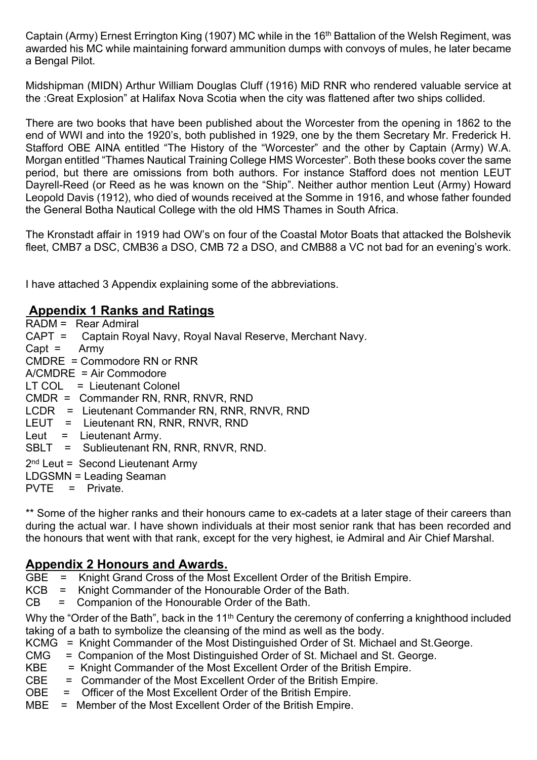Captain (Army) Ernest Errington King (1907) MC while in the 16th Battalion of the Welsh Regiment, was awarded his MC while maintaining forward ammunition dumps with convoys of mules, he later became a Bengal Pilot.

Midshipman (MIDN) Arthur William Douglas Cluff (1916) MiD RNR who rendered valuable service at the :Great Explosion" at Halifax Nova Scotia when the city was flattened after two ships collided.

There are two books that have been published about the Worcester from the opening in 1862 to the end of WWI and into the 1920's, both published in 1929, one by the them Secretary Mr. Frederick H. Stafford OBE AINA entitled "The History of the "Worcester" and the other by Captain (Army) W.A. Morgan entitled "Thames Nautical Training College HMS Worcester". Both these books cover the same period, but there are omissions from both authors. For instance Stafford does not mention LEUT Dayrell-Reed (or Reed as he was known on the "Ship". Neither author mention Leut (Army) Howard Leopold Davis (1912), who died of wounds received at the Somme in 1916, and whose father founded the General Botha Nautical College with the old HMS Thames in South Africa.

The Kronstadt affair in 1919 had OW's on four of the Coastal Motor Boats that attacked the Bolshevik fleet, CMB7 a DSC, CMB36 a DSO, CMB 72 a DSO, and CMB88 a VC not bad for an evening's work.

I have attached 3 Appendix explaining some of the abbreviations.

#### **Appendix 1 Ranks and Ratings**

| RADM = Rear Admiral                                                                  |
|--------------------------------------------------------------------------------------|
| CAPT = Captain Royal Navy, Royal Naval Reserve, Merchant Navy.                       |
| $Capt = \text{Army}$                                                                 |
| $CMDRE = Commodore RN$ or RNR                                                        |
| $A/CMDRE = Air Commodore$                                                            |
| LT COL = Lieutenant Colonel                                                          |
| CMDR = Commander RN, RNR, RNVR, RND                                                  |
| LCDR = Lieutenant Commander RN, RNR, RNVR, RND                                       |
| LEUT = Lieutenant RN, RNR, RNVR, RND                                                 |
| Leut $=$ Lieutenant Army.                                                            |
| SBLT = Sublieutenant RN, RNR, RNVR, RND.                                             |
| $2nd$ Leut = Second Lieutenant Army<br>LDGSMN = Leading Seaman<br>$PVTE = Private$ . |
|                                                                                      |

\*\* Some of the higher ranks and their honours came to ex-cadets at a later stage of their careers than during the actual war. I have shown individuals at their most senior rank that has been recorded and the honours that went with that rank, except for the very highest, ie Admiral and Air Chief Marshal.

## **Appendix 2 Honours and Awards.**

GBE = Knight Grand Cross of the Most Excellent Order of the British Empire.<br>KCB = Knight Commander of the Honourable Order of the Bath.

- Knight Commander of the Honourable Order of the Bath.
- CB = Companion of the Honourable Order of the Bath.

Why the "Order of the Bath", back in the 11<sup>th</sup> Century the ceremony of conferring a knighthood included taking of a bath to symbolize the cleansing of the mind as well as the body.

- KCMG = Knight Commander of the Most Distinguished Order of St. Michael and St.George.
- CMG = Companion of the Most Distinguished Order of St. Michael and St. George.
- KBE = Knight Commander of the Most Excellent Order of the British Empire.
- CBE = Commander of the Most Excellent Order of the British Empire.
- OBE = Officer of the Most Excellent Order of the British Empire.
- MBE = Member of the Most Excellent Order of the British Empire.